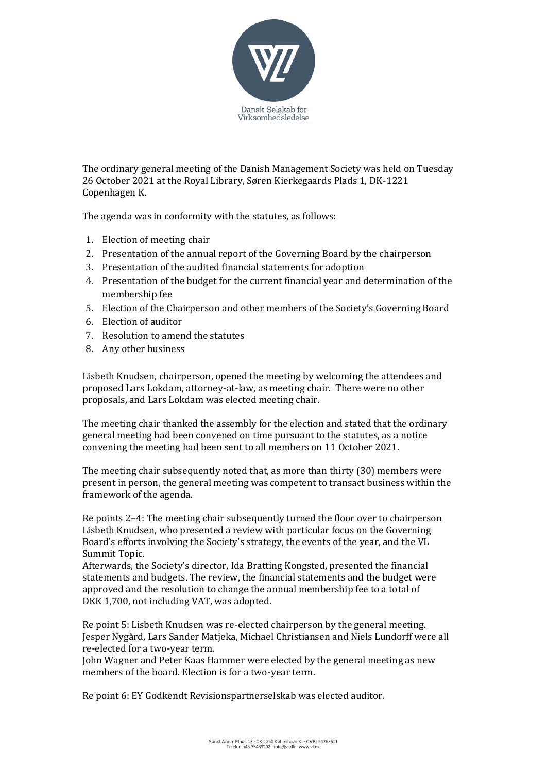

The ordinary general meeting of the Danish Management Society was held on Tuesday 26 October 2021 at the Royal Library, Søren Kierkegaards Plads 1, DK-1221 Copenhagen K.

The agenda was in conformity with the statutes, as follows:

- 1. Election of meeting chair
- 2. Presentation of the annual report of the Governing Board by the chairperson
- 3. Presentation of the audited financial statements for adoption
- 4. Presentation of the budget for the current financial year and determination of the membership fee
- 5. Election of the Chairperson and other members of the Society's Governing Board
- 6. Election of auditor
- 7. Resolution to amend the statutes
- 8. Any other business

Lisbeth Knudsen, chairperson, opened the meeting by welcoming the attendees and proposed Lars Lokdam, attorney-at-law, as meeting chair. There were no other proposals, and Lars Lokdam was elected meeting chair.

The meeting chair thanked the assembly for the election and stated that the ordinary general meeting had been convened on time pursuant to the statutes, as a notice convening the meeting had been sent to all members on 11 October 2021.

The meeting chair subsequently noted that, as more than thirty (30) members were present in person, the general meeting was competent to transact business within the framework of the agenda.

Re points 2–4: The meeting chair subsequently turned the floor over to chairperson Lisbeth Knudsen, who presented a review with particular focus on the Governing Board's efforts involving the Society's strategy, the events of the year, and the VL Summit Topic.

Afterwards, the Society's director, Ida Bratting Kongsted, presented the financial statements and budgets. The review, the financial statements and the budget were approved and the resolution to change the annual membership fee to a total of DKK 1,700, not including VAT, was adopted.

Re point 5: Lisbeth Knudsen was re-elected chairperson by the general meeting. Jesper Nygård, Lars Sander Matjeka, Michael Christiansen and Niels Lundorff were all re-elected for a two-year term.

John Wagner and Peter Kaas Hammer were elected by the general meeting as new members of the board. Election is for a two-year term.

Re point 6: EY Godkendt Revisionspartnerselskab was elected auditor.